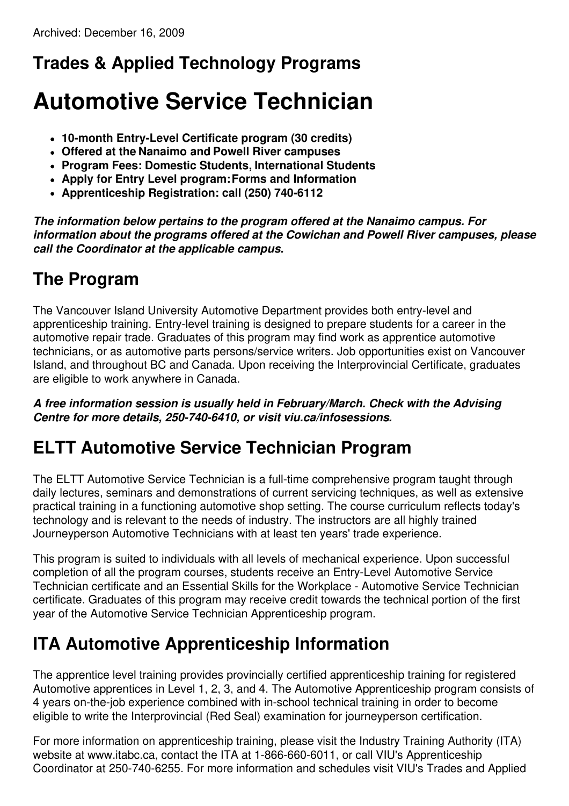# **Trades & Applied Technology Programs**

# **Automotive Service Technician**

- **10-month Entry-Level Certificate program (30 credits)**
- **Offered at the Nanaimo and Powell River campuses**
- **Program Fees: Domestic Students, International Students**
- **Apply for Entry Level program:Forms and Information**
- **Apprenticeship Registration: call (250) 740-6112**

*The information below pertains to the program offered at the Nanaimo campus. For information about the programs offered at the Cowichan and Powell River campuses, please call the Coordinator at the applicable campus.*

### **The Program**

The Vancouver Island University Automotive Department provides both entry-level and apprenticeship training. Entry-level training is designed to prepare students for a career in the automotive repair trade. Graduates of this program may find work as apprentice automotive technicians, or as automotive parts persons/service writers. Job opportunities exist on Vancouver Island, and throughout BC and Canada. Upon receiving the Interprovincial Certificate, graduates are eligible to work anywhere in Canada.

*A free information session is usually held in February/March. Check with the Advising Centre for more details, 250-740-6410, or visit viu.ca/infosessions.*

### **ELTT Automotive Service Technician Program**

The ELTT Automotive Service Technician is a full-time comprehensive program taught through daily lectures, seminars and demonstrations of current servicing techniques, as well as extensive practical training in a functioning automotive shop setting. The course curriculum reflects today's technology and is relevant to the needs of industry. The instructors are all highly trained Journeyperson Automotive Technicians with at least ten years' trade experience.

This program is suited to individuals with all levels of mechanical experience. Upon successful completion of all the program courses, students receive an Entry-Level Automotive Service Technician certificate and an Essential Skills for the Workplace - Automotive Service Technician certificate. Graduates of this program may receive credit towards the technical portion of the first year of the Automotive Service Technician Apprenticeship program.

### **ITA Automotive Apprenticeship Information**

The apprentice level training provides provincially certified apprenticeship training for registered Automotive apprentices in Level 1, 2, 3, and 4. The Automotive Apprenticeship program consists of 4 years on-the-job experience combined with in-school technical training in order to become eligible to write the Interprovincial (Red Seal) examination for journeyperson certification.

For more information on apprenticeship training, please visit the Industry Training Authority (ITA) website at www.itabc.ca, contact the ITA at 1-866-660-6011, or call VIU's Apprenticeship Coordinator at 250-740-6255. For more information and schedules visit VIU's Trades and Applied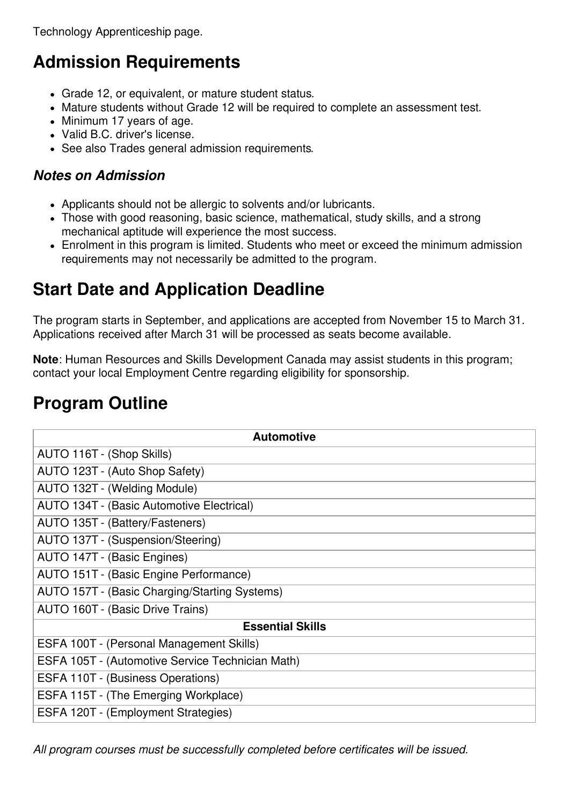Technology Apprenticeship page.

# **Admission Requirements**

- Grade 12, or equivalent, or mature student status.
- Mature students without Grade 12 will be required to complete an assessment test.
- Minimum 17 years of age.
- Valid B.C. driver's license.
- See also Trades general admission requirements.

#### *Notes on Admission*

- Applicants should not be allergic to solvents and/or lubricants.
- Those with good reasoning, basic science, mathematical, study skills, and a strong mechanical aptitude will experience the most success.
- Enrolment in this program is limited. Students who meet or exceed the minimum admission requirements may not necessarily be admitted to the program.

# **Start Date and Application Deadline**

The program starts in September, and applications are accepted from November 15 to March 31. Applications received after March 31 will be processed as seats become available.

**Note**: Human Resources and Skills Development Canada may assist students in this program; contact your local Employment Centre regarding eligibility for sponsorship.

### **Program Outline**

| <b>Automotive</b>                                |
|--------------------------------------------------|
| AUTO 116T - (Shop Skills)                        |
| AUTO 123T - (Auto Shop Safety)                   |
| AUTO 132T - (Welding Module)                     |
| AUTO 134T - (Basic Automotive Electrical)        |
| AUTO 135T - (Battery/Fasteners)                  |
| AUTO 137T - (Suspension/Steering)                |
| AUTO 147T - (Basic Engines)                      |
| AUTO 151T - (Basic Engine Performance)           |
| AUTO 157T - (Basic Charging/Starting Systems)    |
| AUTO 160T - (Basic Drive Trains)                 |
| <b>Essential Skills</b>                          |
| ESFA 100T - (Personal Management Skills)         |
| ESFA 105T - (Automotive Service Technician Math) |
| ESFA 110T - (Business Operations)                |
| ESFA 115T - (The Emerging Workplace)             |
| ESFA 120T - (Employment Strategies)              |

*All program courses must be successfully completed before certificates will be issued.*